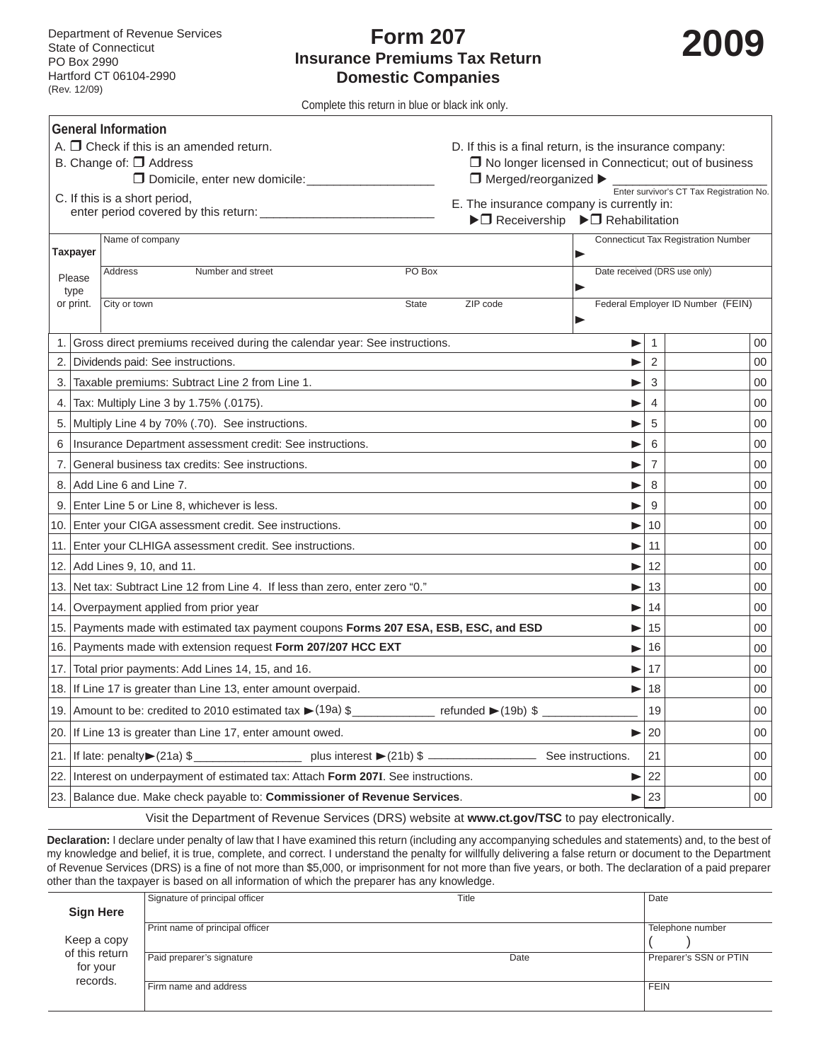## **Form 207 Insurance Premiums Tax Return Domestic Companies**



Complete this return in blue or black ink only.

| <b>General Information</b>                                                                      |                                                                                                  |                                                                                                                            |                                                           |              |    |  |  |  |  |
|-------------------------------------------------------------------------------------------------|--------------------------------------------------------------------------------------------------|----------------------------------------------------------------------------------------------------------------------------|-----------------------------------------------------------|--------------|----|--|--|--|--|
| A. $\Box$ Check if this is an amended return.                                                   |                                                                                                  |                                                                                                                            | D. If this is a final return, is the insurance company:   |              |    |  |  |  |  |
|                                                                                                 | B. Change of: □ Address                                                                          |                                                                                                                            | $\Box$ No longer licensed in Connecticut; out of business |              |    |  |  |  |  |
|                                                                                                 |                                                                                                  | Enter survivor's CT Tax Registration No.                                                                                   |                                                           |              |    |  |  |  |  |
|                                                                                                 | C. If this is a short period,                                                                    |                                                                                                                            | E. The insurance company is currently in:                 |              |    |  |  |  |  |
|                                                                                                 | $\blacktriangleright \Box$ Receivership $\blacktriangleright \Box$ Rehabilitation                |                                                                                                                            |                                                           |              |    |  |  |  |  |
|                                                                                                 |                                                                                                  |                                                                                                                            | <b>Connecticut Tax Registration Number</b>                |              |    |  |  |  |  |
| <b>Taxpayer</b><br>Date received (DRS use only)                                                 |                                                                                                  |                                                                                                                            |                                                           |              |    |  |  |  |  |
|                                                                                                 | Please                                                                                           | PO Box<br>Address<br>Number and street                                                                                     |                                                           |              |    |  |  |  |  |
| type<br>or print.                                                                               |                                                                                                  | City or town<br>ZIP code<br><b>State</b>                                                                                   | Federal Employer ID Number (FEIN)                         |              |    |  |  |  |  |
|                                                                                                 |                                                                                                  |                                                                                                                            |                                                           |              |    |  |  |  |  |
| 1.                                                                                              |                                                                                                  | Gross direct premiums received during the calendar year: See instructions.                                                 | ▶                                                         | $\mathbf{1}$ | 00 |  |  |  |  |
| 2.                                                                                              |                                                                                                  | Dividends paid: See instructions.                                                                                          | ▶                                                         | 2            | 00 |  |  |  |  |
| 3.                                                                                              |                                                                                                  | Taxable premiums: Subtract Line 2 from Line 1.                                                                             | ▶                                                         | 3            | 00 |  |  |  |  |
| 4.                                                                                              |                                                                                                  | Tax: Multiply Line 3 by 1.75% (.0175).                                                                                     | ▶                                                         | 4            | 00 |  |  |  |  |
| 5.                                                                                              |                                                                                                  | Multiply Line 4 by 70% (.70). See instructions.                                                                            | ▶                                                         | 5            | 00 |  |  |  |  |
| 6                                                                                               | Insurance Department assessment credit: See instructions.                                        |                                                                                                                            | 6                                                         | 00           |    |  |  |  |  |
| 7.                                                                                              | General business tax credits: See instructions.                                                  | ▶                                                                                                                          | 7                                                         | 00           |    |  |  |  |  |
|                                                                                                 |                                                                                                  | 8. Add Line 6 and Line 7.                                                                                                  |                                                           | 8            | 00 |  |  |  |  |
|                                                                                                 | 9. Enter Line 5 or Line 8, whichever is less.                                                    |                                                                                                                            | 9                                                         | 00           |    |  |  |  |  |
|                                                                                                 | 10. Enter your CIGA assessment credit. See instructions.                                         | ▶                                                                                                                          | 10                                                        | 00           |    |  |  |  |  |
| 11.                                                                                             | Enter your CLHIGA assessment credit. See instructions.                                           | ▶                                                                                                                          | 11                                                        | 00           |    |  |  |  |  |
|                                                                                                 | 12. Add Lines 9, 10, and 11.                                                                     | ▶                                                                                                                          | 12                                                        | 00           |    |  |  |  |  |
|                                                                                                 |                                                                                                  | 13. Net tax: Subtract Line 12 from Line 4. If less than zero, enter zero "0."                                              | ▶                                                         | 13           | 00 |  |  |  |  |
| 14. l                                                                                           |                                                                                                  | Overpayment applied from prior year                                                                                        | ▶                                                         | 14           | 00 |  |  |  |  |
|                                                                                                 | 15. Payments made with estimated tax payment coupons Forms 207 ESA, ESB, ESC, and ESD<br>15<br>▶ |                                                                                                                            |                                                           |              |    |  |  |  |  |
|                                                                                                 | 16. Payments made with extension request Form 207/207 HCC EXT                                    | ▶                                                                                                                          | 16                                                        | 00           |    |  |  |  |  |
| 17.                                                                                             |                                                                                                  | Total prior payments: Add Lines 14, 15, and 16.<br>▶                                                                       |                                                           | 17           | 00 |  |  |  |  |
|                                                                                                 |                                                                                                  | 18. If Line 17 is greater than Line 13, enter amount overpaid.                                                             | ▶                                                         | 18           | 00 |  |  |  |  |
|                                                                                                 |                                                                                                  | refunded $\blacktriangleright$ (19b) \$<br>19. Amount to be: credited to 2010 estimated tax $\blacktriangleright$ (19a) \$ |                                                           | 19           | 00 |  |  |  |  |
|                                                                                                 |                                                                                                  | 20. If Line 13 is greater than Line 17, enter amount owed.                                                                 |                                                           | 20           | 00 |  |  |  |  |
| 21.                                                                                             |                                                                                                  | plus interest $\blacktriangleright$ (21b) \$ –<br>If late: penalty $>(21a)$ \$<br>See instructions.                        |                                                           | 21           | 00 |  |  |  |  |
| 22.                                                                                             | Interest on underpayment of estimated tax: Attach Form 207I. See instructions.                   | ▶                                                                                                                          | 22                                                        | 00           |    |  |  |  |  |
|                                                                                                 | 23. Balance due. Make check payable to: Commissioner of Revenue Services.                        | ⋗                                                                                                                          | 23                                                        | 00           |    |  |  |  |  |
| Visit the Department of Revenue Services (DRS) website at www.ct.gov/TSC to pay electronically. |                                                                                                  |                                                                                                                            |                                                           |              |    |  |  |  |  |

**Declaration:** I declare under penalty of law that I have examined this return (including any accompanying schedules and statements) and, to the best of my knowledge and belief, it is true, complete, and correct. I understand the penalty for willfully delivering a false return or document to the Department of Revenue Services (DRS) is a fine of not more than \$5,000, or imprisonment for not more than five years, or both. The declaration of a paid preparer other than the taxpayer is based on all information of which the preparer has any knowledge.

|                                        | Signature of principal officer  | Title | Date                   |
|----------------------------------------|---------------------------------|-------|------------------------|
| <b>Sign Here</b>                       |                                 |       |                        |
|                                        | Print name of principal officer |       | Telephone number       |
| Keep a copy                            |                                 |       |                        |
| of this return<br>for your<br>records. | Paid preparer's signature       | Date  | Preparer's SSN or PTIN |
|                                        | Firm name and address           |       | <b>FEIN</b>            |